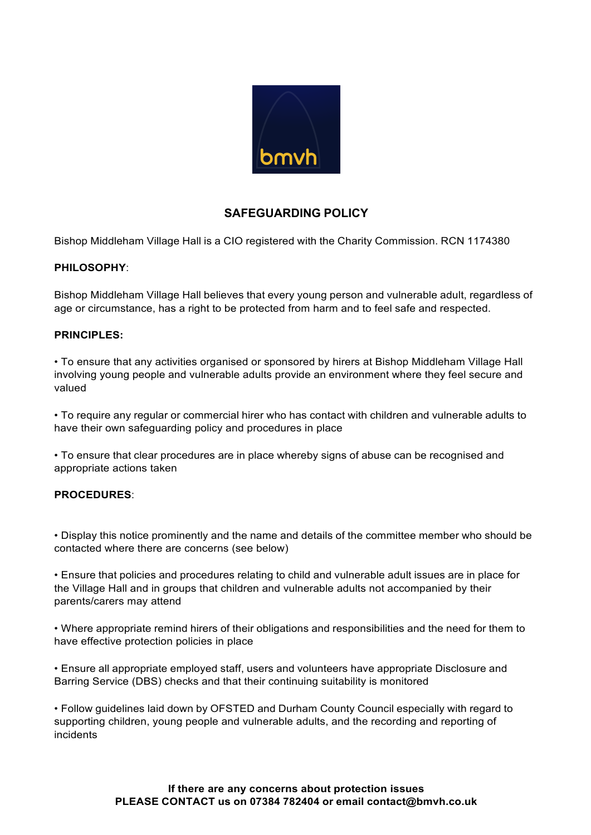

## **SAFEGUARDING POLICY**

Bishop Middleham Village Hall is a CIO registered with the Charity Commission. RCN 1174380

## **PHILOSOPHY**:

Bishop Middleham Village Hall believes that every young person and vulnerable adult, regardless of age or circumstance, has a right to be protected from harm and to feel safe and respected.

## **PRINCIPLES:**

• To ensure that any activities organised or sponsored by hirers at Bishop Middleham Village Hall involving young people and vulnerable adults provide an environment where they feel secure and valued

• To require any regular or commercial hirer who has contact with children and vulnerable adults to have their own safeguarding policy and procedures in place

• To ensure that clear procedures are in place whereby signs of abuse can be recognised and appropriate actions taken

## **PROCEDURES**:

• Display this notice prominently and the name and details of the committee member who should be contacted where there are concerns (see below)

• Ensure that policies and procedures relating to child and vulnerable adult issues are in place for the Village Hall and in groups that children and vulnerable adults not accompanied by their parents/carers may attend

• Where appropriate remind hirers of their obligations and responsibilities and the need for them to have effective protection policies in place

• Ensure all appropriate employed staff, users and volunteers have appropriate Disclosure and Barring Service (DBS) checks and that their continuing suitability is monitored

• Follow guidelines laid down by OFSTED and Durham County Council especially with regard to supporting children, young people and vulnerable adults, and the recording and reporting of incidents